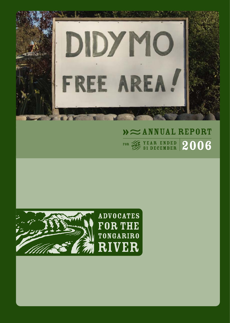

# $\lambda \approx$  ANNUAL REPORT  $\frac{1}{2}$   $\frac{1}{2}$   $\frac{1}{2}$   $\frac{1}{2}$   $\frac{1}{2}$   $\frac{1}{2}$   $\frac{1}{2}$   $\frac{1}{2}$   $\frac{1}{2}$   $\frac{1}{2}$   $\frac{1}{2}$   $\frac{1}{2}$   $\frac{1}{2}$   $\frac{1}{2}$   $\frac{1}{2}$   $\frac{1}{2}$   $\frac{1}{2}$   $\frac{1}{2}$   $\frac{1}{2}$   $\frac{1}{2}$   $\frac{1}{2}$   $\frac{1}{2}$



**ADVOCATES** FOR THE **TONGARIRO RIVER**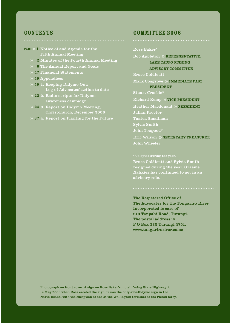#### **CONTENTS**

- PAGE >> 1 Notice of and Agenda for the Fifth Annual Meeting
	- 2 Minutes of the Fourth Annual Meeting
	- 6 The Annual Report and Goals
	- 17 Financial Statements
	- 19 Appendices
	- 19 1. Keeping Didymo Out: Log of Advocates' action to date
	- 22 2. Radio scripts for Didymo awareness campaign
	- 24 3. Report on Didymo Meeting, Christchurch, December 2006
	- 37 4. Report on Planting for the Future

#### CoMMITTEE 2006

Ross Baker\*

Bob Appleton » REPRESENTATIVE,

LAKE TAUPO FISHING

ADVISORY COMMITTEE

Bruce Coldicutt

Mark Cosgrove » IMMEDIATE PAST PRESIDENT

Stuart Crosbie\*

Richard Kemp » VICE PRESIDENT

Heather Macdonald » PRESIDENT

Julian Proctor

Tuatea Smallman

Sylvia Smith

John Toogood\*

Eric Wilson » SECRETARY TREASURER John Wheeler

Bruce Coldicutt and Sylvia Smith resigned during the year. Graeme Nahkies has continued to act in an advisory role.

The Registered Office of The Advocates for the Tongariro River Incorporated is care of 213 Taupahi Road, Turangi. The postal address is P O Box 335 Turangi 2751. www.tongariroriver.co.nz

Photograph on front cover: A sign on Ross Baker's motel, facing State Highway 1. In May 2006 when Ross erected the sign, it was the only anti-Didymo sign in the North Island, with the exception of one at the Wellington terminal of the Picton ferry.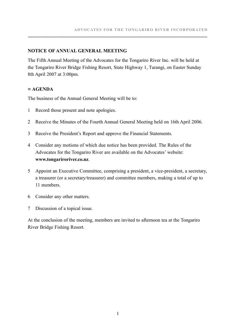#### **NOTICE OF ANNUAL GENERAL MEETING**

The Fifth Annual Meeting of the Advocates for the Tongariro River Inc. will be held at the Tongariro River Bridge Fishing Resort, State Highway 1, Turangi, on Easter Sunday 8th April 2007 at 3:00pm.

**.........................................................................................................................................................................................**

#### **≈ AGENDA**

The business of the Annual General Meeting will be to:

- 1 Record those present and note apologies.
- 2 Receive the Minutes of the Fourth Annual General Meeting held on 16th April 2006.
- 3 Receive the President's Report and approve the Financial Statements.
- 4 Consider any motions of which due notice has been provided. The Rules of the Advocates for the Tongariro River are available on the Advocates' website: **www.tongariroriver.co.nz**.
- 5 Appoint an Executive Committee, comprising a president, a vice-president, a secretary, a treasurer (or a secretary/treasurer) and committee members, making a total of up to 11 members.
- 6 Consider any other matters.
- 7 Discussion of a topical issue.

At the conclusion of the meeting, members are invited to afternoon tea at the Tongariro River Bridge Fishing Resort.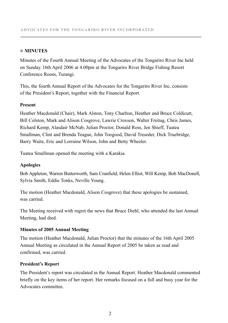#### **≈ MINUTES**

Minutes of the Fourth Annual Meeting of the Advocates of the Tongariro River Inc held on Sunday 16th April 2006 at 4.00pm at the Tongariro River Bridge Fishing Resort Conference Room, Turangi.

**.........................................................................................................................................................................................**

This, the fourth Annual Report of the Advocates for the Tongariro River Inc, consists of the President's Report, together with the Financial Report.

#### **Present**

Heather Macdonald (Chair), Mark Alston, Tony Charlton, Heather and Bruce Coldicutt, Bill Colston, Mark and Alison Cosgrove, Lawrie Croxson, Walter Freitag, Chris James, Richard Kemp, Alasdair McNab, Julian Proctor, Donald Ross, Jen Shieff, Tuatea Smallman, Clint and Brenda Teague, John Toogood, David Treseder, Dick Truebridge, Barry Waite, Eric and Lorraine Wilson, John and Betty Wheeler.

Tuatea Smallman opened the meeting with a Karakia.

#### **Apologies**

Bob Appleton, Warren Butterworth, Sam Cranfield, Helen Elliot, Will Kemp, Bob MacDonell, Sylvia Smith, Eddie Tonks, Neville Young.

The motion (Heather Macdonald, Alison Cosgrove) that these apologies be sustained, was carried.

The Meeting received with regret the news that Bruce Diehl, who attended the last Annual Meeting, had died.

#### **Minutes of 2005 Annual Meeting**

The motion (Heather Macdonald, Julian Proctor) that the minutes of the 16th April 2005 Annual Meeting as circulated in the Annual Report of 2005 be taken as read and confirmed, was carried.

#### **President's Report**

The President's report was circulated in the Annual Report. Heather Macdonald commented briefly on the key items of her report. Her remarks focused on a full and busy year for the Advocates committee.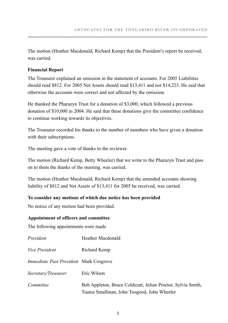The motion (Heather Macdonald, Richard Kemp) that the President's report be received, was carried.

#### **Financial Report**

The Treasurer explained an omission in the statement of accounts. For 2005 Liabilities should read \$812. For 2005 Net Assets should read \$13,411 and not \$14,223. He said that otherwise the accounts were correct and not affected by the omission.

He thanked the Pharazyn Trust for a donation of \$3,000, which followed a previous donation of \$10,000 in 2004. He said that these donations give the committee confidence to continue working towards its objectives.

The Treasurer recorded his thanks to the number of members who have given a donation with their subscriptions.

The meeting gave a vote of thanks to the reviewer.

The motion (Richard Kemp, Betty Wheeler) that we write to the Pharazyn Trust and pass on to them the thanks of the meeting, was carried.

The motion (Heather Macdonald, Richard Kemp) that the amended accounts showing liability of \$812 and Net Assets of \$13,411 for 2005 be received, was carried.

#### **To consider any motions of which due notice has been provided**

No notice of any motion had been provided.

#### **Appointment of officers and committee**

The following appointments were made

| President                                     | Heather Macdonald                                                                                           |
|-----------------------------------------------|-------------------------------------------------------------------------------------------------------------|
| <i>Vice President</i>                         | Richard Kemp                                                                                                |
| <i>Immediate Past President Mark Cosgrove</i> |                                                                                                             |
| Secretary/Treasurer                           | Eric Wilson                                                                                                 |
| Committee                                     | Bob Appleton, Bruce Coldicutt, Julian Proctor, Sylvia Smith,<br>Tuatea Smallman, John Toogood, John Wheeler |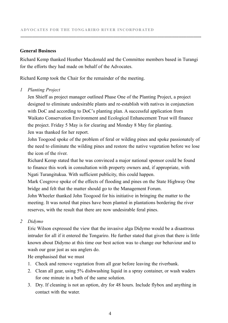#### **General Business**

Richard Kemp thanked Heather Macdonald and the Committee members based in Turangi for the efforts they had made on behalf of the Advocates.

**.........................................................................................................................................................................................**

Richard Kemp took the Chair for the remainder of the meeting.

#### *1 Planting Project*

Jen Shieff as project manager outlined Phase One of the Planting Project, a project designed to eliminate undesirable plants and re-establish with natives in conjunction with DoC and according to DoC's planting plan. A successful application from Waikato Conservation Environment and Ecological Enhancement Trust will finance the project. Friday 5 May is for clearing and Monday 8 May for planting. Jen was thanked for her report.

John Toogood spoke of the problem of feral or wilding pines and spoke passionately of the need to eliminate the wilding pines and restore the native vegetation before we lose the icon of the river.

Richard Kemp stated that he was convinced a major national sponsor could be found to finance this work in consultation with property owners and, if appropriate, with Ngati Turangitukua. With sufficient publicity, this could happen.

Mark Cosgrove spoke of the effects of flooding and pines on the State Highway One bridge and felt that the matter should go to the Management Forum.

John Wheeler thanked John Toogood for his initiative in bringing the matter to the meeting. It was noted that pines have been planted in plantations bordering the river reserves, with the result that there are now undesirable feral pines.

#### *2 Didymo*

Eric Wilson expressed the view that the invasive alga Didymo would be a disastrous intruder for all if it entered the Tongariro. He further stated that given that there is little known about Didymo at this time our best action was to change our behaviour and to wash our gear just as sea anglers do.

He emphasised that we must

- 1. Check and remove vegetation from all gear before leaving the riverbank.
- 2. Clean all gear, using 5% dishwashing liquid in a spray container, or wash waders for one minute in a bath of the same solution.
- 3. Dry. If cleaning is not an option, dry for 48 hours. Include flybox and anything in contact with the water.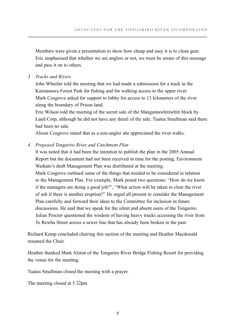Members were given a presentation to show how cheap and easy it is to clean gear. Eric emphasised that whether we are anglers or not, we must be aware of this message and pass it on to others.

#### *3 Tracks and Rivers*

John Wheeler told the meeting that we had made a submission for a track in the Kaimanawa Forest Park for fishing and for walking access to the upper river. Mark Cosgrove asked for support to lobby for access to 13 kilometers of the river along the boundary of Prison land.

Eric Wilson told the meeting of the secret sale of the Mangamawhitiwhiti block by Land Corp, although he did not have any detail of the sale. Tuatea Smallman said there had been no sale.

Alison Cosgrove stated that as a non-angler she appreciated the river walks.

#### *4 Proposed Tongariro River and Catchment Plan*

It was noted that it had been the intention to publish the plan in the 2005 Annual Report but the document had not been received in time for the posting. Environment Waikato's draft Management Plan was distributed at the meeting.

Mark Cosgrove outlined some of the things that needed to be considered in relation to the Management Plan. For example, Mark posed two questions: "How do we know if the managers are doing a good job?", "What action will be taken to clear the river of ash if there is another eruption?" He urged all present to consider the Management Plan carefully and forward their ideas to the Committee for inclusion in future discussions. He said that we speak for the silent and absent users of the Tongariro. Julian Proctor questioned the wisdom of having heavy trucks accessing the river from Te Rewha Street across a sewer line that has already been broken in the past.

Richard Kemp concluded chairing this section of the meeting and Heather Macdonald resumed the Chair.

Heather thanked Mark Alston of the Tongariro River Bridge Fishing Resort for providing the venue for the meeting.

Tuatea Smallman closed the meeting with a prayer.

The meeting closed at 5.32pm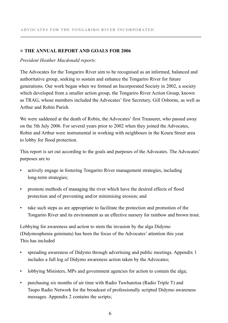#### **≈ The Annual Report and Goals for 2006**

#### *President Heather Macdonald reports:*

The Advocates for the Tongariro River aim to be recognised as an informed, balanced and authoritative group, seeking to sustain and enhance the Tongariro River for future generations. Our work began when we formed an Incorporated Society in 2002, a society which developed from a smaller action group, the Tongariro River Action Group, known as TRAG, whose members included the Advocates' first Secretary, Gill Osborne, as well as Arthur and Robin Parish.

**.........................................................................................................................................................................................**

We were saddened at the death of Robin, the Advocates' first Treasurer, who passed away on the 5th July 2006. For several years prior to 2002 when they joined the Advocates, Robin and Arthur were instrumental in working with neighbours in the Koura Street area to lobby for flood protection.

This report is set out according to the goals and purposes of the Advocates. The Advocates' purposes are to

- • actively engage in fostering Tongariro River management strategies, including long-term strategies;
- promote methods of managing the river which have the desired effects of flood protection and of preventing and/or minimising erosion; and
- take such steps as are appropriate to facilitate the protection and promotion of the Tongariro River and its environment as an effective nursery for rainbow and brown trout.

Lobbying for awareness and action to stem the invasion by the alga Didymo (Didymosphenia geminata) has been the focus of the Advocates' attention this year. This has included

- • spreading awareness of Didymo through advertising and public meetings. Appendix 1 includes a full log of Didymo awareness action taken by the Advocates;
- lobbying Ministers, MPs and government agencies for action to contain the alga;
- • purchasing six months of air time with Radio Tuwharetoa (Radio Triple T) and Taupo Radio Network for the broadcast of professionally scripted Didymo awareness messages. Appendix 2 contains the scripts;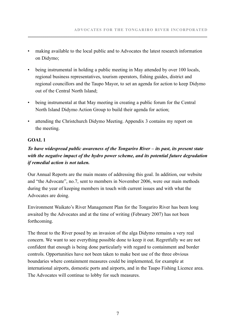- making available to the local public and to Advocates the latest research information on Didymo;
- being instrumental in holding a public meeting in May attended by over 100 locals. regional business representatives, tourism operators, fishing guides, district and regional councillors and the Taupo Mayor, to set an agenda for action to keep Didymo out of the Central North Island;
- being instrumental at that May meeting in creating a public forum for the Central North Island Didymo Action Group to build their agenda for action;
- attending the Christchurch Didymo Meeting. Appendix 3 contains my report on the meeting.

#### **GOAL 1**

### *To have widespread public awareness of the Tongariro River – its past, its present state with the negative impact of the hydro power scheme, and its potential future degradation if remedial action is not taken.*

Our Annual Reports are the main means of addressing this goal. In addition, our website and "the Advocate", no.7, sent to members in November 2006, were our main methods during the year of keeping members in touch with current issues and with what the Advocates are doing.

Environment Waikato's River Management Plan for the Tongariro River has been long awaited by the Advocates and at the time of writing (February 2007) has not been forthcoming.

The threat to the River posed by an invasion of the alga Didymo remains a very real concern. We want to see everything possible done to keep it out. Regretfully we are not confident that enough is being done particularly with regard to containment and border controls. Opportunities have not been taken to make best use of the three obvious boundaries where containment measures could be implemented, for example at international airports, domestic ports and airports, and in the Taupo Fishing Licence area. The Advocates will continue to lobby for such measures.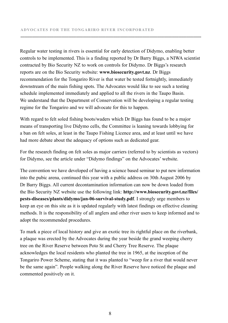Regular water testing in rivers is essential for early detection of Didymo, enabling better controls to be implemented. This is a finding reported by Dr Barry Biggs, a NIWA scientist contracted by Bio Security NZ to work on controls for Didymo. Dr Biggs's research reports are on the Bio Security website: **www.biosecurity.govt.nz**. Dr Biggs recommendation for the Tongariro River is that water be tested fortnightly, immediately downstream of the main fishing spots. The Advocates would like to see such a testing schedule implemented immediately and applied to all the rivers in the Taupo Basin. We understand that the Department of Conservation will be developing a regular testing regime for the Tongariro and we will advocate for this to happen.

**.........................................................................................................................................................................................**

With regard to felt soled fishing boots/waders which Dr Biggs has found to be a major means of transporting live Didymo cells, the Committee is leaning towards lobbying for a ban on felt soles, at least in the Taupo Fishing Licence area, and at least until we have had more debate about the adequacy of options such as dedicated gear.

For the research finding on felt soles as major carriers (referred to by scientists as vectors) for Didymo, see the article under "Didymo findings" on the Advocates' website.

The convention we have developed of having a science based seminar to put new information into the pubic arena, continued this year with a public address on 30th August 2006 by Dr Barry Biggs. All current decontamination information can now be down loaded from the Bio Security NZ website use the following link: **http://www.biosecurity.govt.nz/files/ pests-diseases/plants/didymo/jan-06-survival-study.pdf**. I strongly urge members to keep an eye on this site as it is updated regularly with latest findings on effective cleaning methods. It is the responsibility of all anglers and other river users to keep informed and to adopt the recommended procedures.

To mark a piece of local history and give an exotic tree its rightful place on the riverbank, a plaque was erected by the Advocates during the year beside the grand weeping cherry tree on the River Reserve between Poto St and Cherry Tree Reserve. The plaque acknowledges the local residents who planted the tree in 1965, at the inception of the Tongariro Power Scheme, stating that it was planted to "weep for a river that would never be the same again". People walking along the River Reserve have noticed the plaque and commented positively on it.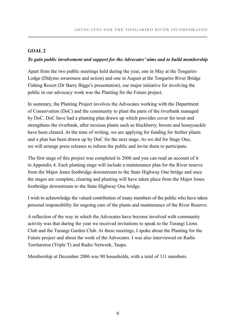#### **GOAL 2**

#### *To gain public involvement and support for the Advocates' aims and to build membership*

Apart from the two public meetings held during the year, one in May at the Tongariro Lodge (Didymo awareness and action) and one in August at the Tongariro River Bridge Fishing Resort (Dr Barry Biggs's presentation), our major initiative for involving the public in our advocacy work was the Planting for the Future project.

In summary, the Planting Project involves the Advocates working with the Department of Conservation (DoC) and the community to plant the parts of the riverbank managed by DoC. DoC have had a planting plan drawn up which provides cover for trout and strengthens the riverbank, after noxious plants such as blackberry, broom and honeysuckle have been cleared. At the time of writing, we are applying for funding for further plants and a plan has been drawn up by DoC for the next stage. As we did for Stage One, we will arrange press releases to inform the public and invite them to participate.

The first stage of this project was completed in 2006 and you can read an account of it in Appendix 4. Each planting stage will include a maintenance plan for the River reserve from the Major Jones footbridge downstream to the State Highway One bridge and once the stages are complete, clearing and planting will have taken place from the Major Jones footbridge downstream to the State Highway One bridge.

I wish to acknowledge the valued contribution of many members of the public who have taken personal responsibility for ongoing care of the plants and maintenance of the River Reserve.

A reflection of the way in which the Advocates have become involved with community activity was that during the year we received invitations to speak to the Turangi Lions Club and the Turangi Garden Club. At these meetings, I spoke about the Planting for the Future project and about the work of the Advocates. I was also interviewed on Radio Tuwharetoa (Triple T) and Radio Network, Taupo.

Membership at December 2006 was 90 households, with a total of 111 members.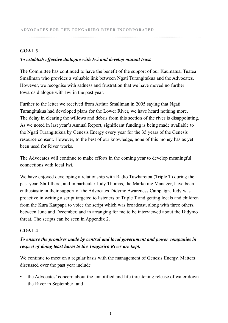#### **GOAL 3**

#### *To establish effective dialogue with Iwi and develop mutual trust.*

The Committee has continued to have the benefit of the support of our Kaumatua, Tuatea Smallman who provides a valuable link between Ngati Turangitukua and the Advocates. However, we recognise with sadness and frustration that we have moved no further towards dialogue with Iwi in the past year.

**.........................................................................................................................................................................................**

Further to the letter we received from Arthur Smallman in 2005 saying that Ngati Turangitukua had developed plans for the Lower River, we have heard nothing more. The delay in clearing the willows and debris from this section of the river is disappointing. As we noted in last year's Annual Report, significant funding is being made available to the Ngati Turangitukua by Genesis Energy every year for the 35 years of the Genesis resource consent. However, to the best of our knowledge, none of this money has as yet been used for River works.

The Advocates will continue to make efforts in the coming year to develop meaningful connections with local Iwi.

We have enjoyed developing a relationship with Radio Tuwharetoa (Triple T) during the past year. Staff there, and in particular Judy Thomas, the Marketing Manager, have been enthusiastic in their support of the Advocates Didymo Awareness Campaign. Judy was proactive in writing a script targeted to listeners of Triple T and getting locals and children from the Kura Kaupapa to voice the script which was broadcast, along with three others, between June and December, and in arranging for me to be interviewed about the Didymo threat. The scripts can be seen in Appendix 2.

#### **GOAL 4**

#### *To ensure the promises made by central and local government and power companies in respect of doing least harm to the Tongariro River are kept.*

We continue to meet on a regular basis with the management of Genesis Energy. Matters discussed over the past year include

the Advocates' concern about the unnotified and life threatening release of water down the River in September; and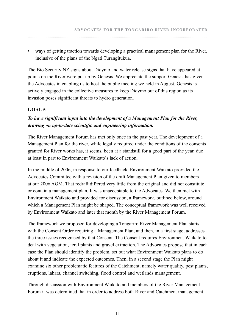• ways of getting traction towards developing a practical management plan for the River, inclusive of the plans of the Ngati Turangitukua.

The Bio Security NZ signs about Didymo and water release signs that have appeared at points on the River were put up by Genesis. We appreciate the support Genesis has given the Advocates in enabling us to host the public meeting we held in August. Genesis is actively engaged in the collective measures to keep Didymo out of this region as its invasion poses significant threats to hydro generation.

#### **GOAL 5**

### *To have significant input into the development of a Management Plan for the River, drawing on up-to-date scientific and engineering information.*

The River Management Forum has met only once in the past year. The development of a Management Plan for the river, while legally required under the conditions of the consents granted for River works has, it seems, been at a standstill for a good part of the year, due at least in part to Environment Waikato's lack of action.

In the middle of 2006, in response to our feedback, Environment Waikato provided the Advocates Committee with a revision of the draft Management Plan given to members at our 2006 AGM. That redraft differed very little from the original and did not constitute or contain a management plan. It was unacceptable to the Advocates. We then met with Environment Waikato and provided for discussion, a framework, outlined below, around which a Management Plan might be shaped. The conceptual framework was well received by Environment Waikato and later that month by the River Management Forum.

The framework we proposed for developing a Tongariro River Management Plan starts with the Consent Order requiring a Management Plan, and then, in a first stage, addresses the three issues recognised by that Consent. The Consent requires Environment Waikato to deal with vegetation, feral plants and gravel extraction. The Advocates propose that in each case the Plan should identify the problem, set out what Environment Waikato plans to do about it and indicate the expected outcomes. Then, in a second stage the Plan might examine six other problematic features of the Catchment, namely water quality, pest plants, eruptions, lahars, channel switching, flood control and wetlands management.

Through discussion with Environment Waikato and members of the River Management Forum it was determined that in order to address both River and Catchment management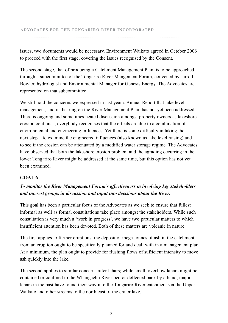issues, two documents would be necessary. Environment Waikato agreed in October 2006 to proceed with the first stage, covering the issues recognised by the Consent.

**.........................................................................................................................................................................................**

The second stage, that of producing a Catchment Management Plan, is to be approached through a subcommittee of the Tongariro River Mangement Forum, convened by Jarrod Bowler, hydrologist and Environmental Manager for Genesis Energy. The Advocates are represented on that subcommittee.

We still hold the concerns we expressed in last year's Annual Report that lake level management, and its bearing on the River Management Plan, has not yet been addressed. There is ongoing and sometimes heated discussion amongst property owners as lakeshore erosion continues; everybody recognises that the effects are due to a combination of environmental and engineering influences. Yet there is some difficulty in taking the next step – to examine the engineered influences (also known as lake level raising) and to see if the erosion can be attenuated by a modified water storage regime. The Advocates have observed that both the lakeshore erosion problem and the agrading occurring in the lower Tongariro River might be addressed at the same time, but this option has not yet been examined.

#### **GOAL 6**

#### *To monitor the River Management Forum's effectiveness in involving key stakeholders and interest groups in discussion and input into decisions about the River.*

This goal has been a particular focus of the Advocates as we seek to ensure that fullest informal as well as formal consultations take place amongst the stakeholders. While such consultation is very much a 'work in progress', we have two particular matters to which insufficient attention has been devoted. Both of these matters are volcanic in nature.

The first applies to further eruptions: the deposit of mega-tonnes of ash in the catchment from an eruption ought to be specifically planned for and dealt with in a management plan. At a minimum, the plan ought to provide for flushing flows of sufficient intensity to move ash quickly into the lake.

The second applies to similar concerns after lahars; while small, overflow lahars might be contained or confined to the Whangaehu River bed or deflected back by a bund, major lahars in the past have found their way into the Tongariro River catchment via the Upper Waikato and other streams to the north east of the crater lake.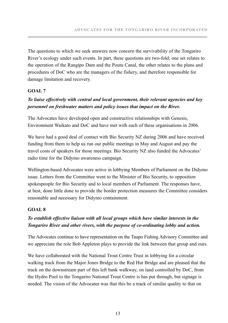The questions to which we seek answers now concern the survivability of the Tongariro River's ecology under such events. In part, these questions are two-fold; one set relates to the operation of the Rangipo Dam and the Poutu Canal, the other relates to the plans and procedures of DoC who are the managers of the fishery, and therefore responsible for damage limitation and recovery.

#### **GOAL 7**

### *To liaise effectively with central and local government, their relevant agencies and key personnel on freshwater matters and policy issues that impact on the River.*

The Advocates have developed open and constructive relationships with Genesis, Environment Waikato and DoC and have met with each of these organisations in 2006.

We have had a good deal of contact with Bio Security NZ during 2006 and have received funding from them to help us run our public meetings in May and August and pay the travel costs of speakers for those meetings. Bio Security NZ also funded the Advocates' radio time for the Didymo awareness campaign.

Wellington-based Advocates were active in lobbying Members of Parliament on the Didymo issue. Letters from the Committee went to the Minister of Bio Security, to opposition spokespeople for Bio Security and to local members of Parliament. The responses have, at best, done little done to provide the border protection measures the Committee considers reasonable and necessary for Didymo containment.

#### **GOAL 8**

#### *To establish effective liaison with all local groups which have similar interests in the Tongariro River and other rivers, with the purpose of co-ordinating lobby and action.*

The Advocates continue to have representation on the Taupo Fishing Advisory Committee and we appreciate the role Bob Appleton plays to provide the link between that group and ours.

We have collaborated with the National Trout Centre Trust in lobbying for a circular walking track from the Major Jones Bridge to the Red Hut Bridge and are pleased that the track on the downstream part of this left bank walkway, on land controlled by DoC, from the Hydro Pool to the Tongariro National Trout Centre is has put through, but signage is needed. The vision of the Advocates was that this be a track of similar quality to that on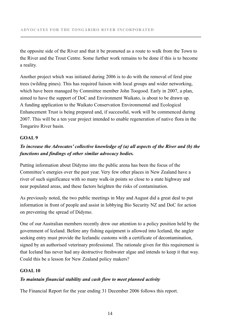the opposite side of the River and that it be promoted as a route to walk from the Town to the River and the Trout Centre. Some further work remains to be done if this is to become a reality.

**.........................................................................................................................................................................................**

Another project which was initiated during 2006 is to do with the removal of feral pine trees (wilding pines). This has required liaison with local groups and wider networking, which have been managed by Committee member John Toogood. Early in 2007, a plan, aimed to have the support of DoC and Environment Waikato, is about to be drawn up. A funding application to the Waikato Conservation Environmental and Ecological Enhancement Trust is being prepared and, if successful, work will be commenced during 2007. This will be a ten year project intended to enable regeneration of native flora in the Tongariro River basin.

#### **GOAL 9**

#### *To increase the Advocates' collective knowledge of (a) all aspects of the River and (b) the functions and findings of other similar advocacy bodies.*

Putting information about Didymo into the public arena has been the focus of the Committee's energies over the past year. Very few other places in New Zealand have a river of such significance with so many walk-in points so close to a state highway and near populated areas, and these factors heighten the risks of contamination.

As previously noted, the two public meetings in May and August did a great deal to put information in front of people and assist in lobbying Bio Security NZ and DoC for action on preventing the spread of Didymo.

One of our Australian members recently drew our attention to a policy position held by the government of Iceland. Before any fishing equipment is allowed into Iceland, the angler seeking entry must provide the Icelandic customs with a certificate of decontamination, signed by an authorised veterinary professional. The rationale given for this requirement is that Iceland has never had any destructive freshwater algae and intends to keep it that way. Could this be a lesson for New Zealand policy makers?

#### **GOAL 10**

#### *To maintain financial stability and cash flow to meet planned activity*

The Financial Report for the year ending 31 December 2006 follows this report.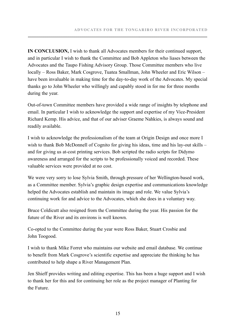**IN CONCLUSION,** I wish to thank all Advocates members for their continued support, and in particular I wish to thank the Committee and Bob Appleton who liases between the Advocates and the Taupo Fishing Advisory Group. Those Committee members who live locally – Ross Baker, Mark Cosgrove, Tuatea Smallman, John Wheeler and Eric Wilson – have been invaluable in making time for the day-to-day work of the Advocates. My special thanks go to John Wheeler who willingly and capably stood in for me for three months during the year.

Out-of-town Committee members have provided a wide range of insights by telephone and email. In particular I wish to acknowledge the support and expertise of my Vice-President Richard Kemp. His advice, and that of our adviser Graeme Nahkies, is always sound and readily available.

I wish to acknowledge the professionalism of the team at Origin Design and once more I wish to thank Bob McDonnell of Cognito for giving his ideas, time and his lay-out skills – and for giving us at-cost printing services. Bob scripted the radio scripts for Didymo awareness and arranged for the scripts to be professionally voiced and recorded. These valuable services were provided at no cost.

We were very sorry to lose Sylvia Smith, through pressure of her Wellington-based work, as a Committee member. Sylvia's graphic design expertise and communications knowledge helped the Advocates establish and maintain its image and role. We value Sylvia's continuing work for and advice to the Advocates, which she does in a voluntary way.

Bruce Coldicutt also resigned from the Committee during the year. His passion for the future of the River and its environs is well known.

Co-opted to the Committee during the year were Ross Baker, Stuart Crosbie and John Toogood.

I wish to thank Mike Forret who maintains our website and email database. We continue to benefit from Mark Cosgrove's scientific expertise and appreciate the thinking he has contributed to help shape a River Management Plan.

Jen Shieff provides writing and editing expertise. This has been a huge support and I wish to thank her for this and for continuing her role as the project manager of Planting for the Future.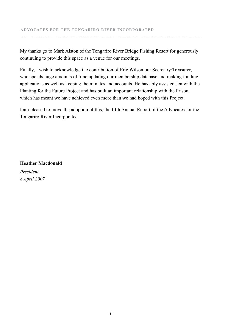My thanks go to Mark Alston of the Tongariro River Bridge Fishing Resort for generously continuing to provide this space as a venue for our meetings.

**.........................................................................................................................................................................................**

Finally, I wish to acknowledge the contribution of Eric Wilson our Secretary/Treasurer, who spends huge amounts of time updating our membership database and making funding applications as well as keeping the minutes and accounts. He has ably assisted Jen with the Planting for the Future Project and has built an important relationship with the Prison which has meant we have achieved even more than we had hoped with this Project.

I am pleased to move the adoption of this, the fifth Annual Report of the Advocates for the Tongariro River Incorporated.

**Heather Macdonald**

*President 8 April 2007*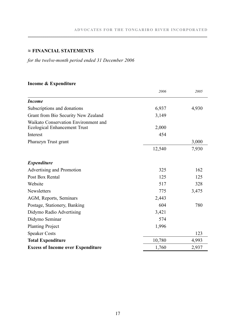#### **≈ Financial StaTements**

*for the twelve-month period ended 31 December 2006*

#### **Income & Expenditure**

|                                                                      | 2006   | 2005  |
|----------------------------------------------------------------------|--------|-------|
| <b>Income</b>                                                        |        |       |
| Subscriptions and donations                                          | 6,937  | 4,930 |
| Grant from Bio Security New Zealand                                  | 3,149  |       |
| Waikato Conservation Environment and<br>Ecological Enhancement Trust | 2,000  |       |
| Interest                                                             | 454    |       |
| Pharazyn Trust grant                                                 |        | 3,000 |
|                                                                      | 12,540 | 7,930 |
| <i>Expenditure</i>                                                   |        |       |
| Advertising and Promotion                                            | 325    | 162   |
| Post Box Rental                                                      | 125    | 125   |
| Website                                                              | 517    | 328   |
| Newsletters                                                          | 775    | 3,475 |
| AGM, Reports, Seminars                                               | 2,443  |       |
| Postage, Stationery, Banking                                         | 604    | 780   |
| Didymo Radio Advertising                                             | 3,421  |       |
| Didymo Seminar                                                       | 574    |       |
| <b>Planting Project</b>                                              | 1,996  |       |
| <b>Speaker Costs</b>                                                 |        | 123   |
| <b>Total Expenditure</b>                                             | 10,780 | 4,993 |
| <b>Excess of Income over Expenditure</b>                             | 1,760  | 2,937 |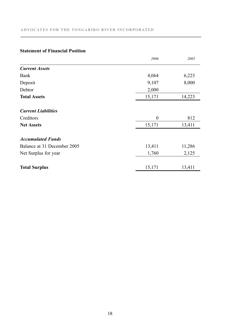#### **advocates for the tongariro river incorporated**

|                             | 2006         | 2005   |
|-----------------------------|--------------|--------|
| <b>Current Assets</b>       |              |        |
| Bank                        | 4,064        | 6,223  |
| Deposit                     | 9,107        | 8,000  |
| Debtor                      | 2,000        |        |
| <b>Total Assets</b>         | 15,171       | 14,223 |
| <b>Current Liabilities</b>  |              |        |
| Creditors                   | $\mathbf{0}$ | 812    |
| <b>Net Assets</b>           | 15,171       | 13,411 |
| <b>Accumulated Funds</b>    |              |        |
| Balance at 31 December 2005 | 13,411       | 11,286 |
| Net Surplus for year        | 1,760        | 2,125  |
| <b>Total Surplus</b>        | 15,171       | 13,411 |

**.........................................................................................................................................................................................**

#### **Statement of Financial Position**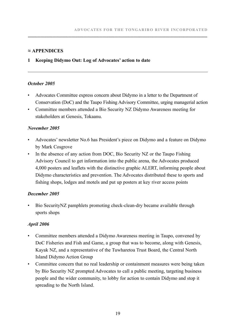#### **≈ APPENDICES**

#### **1 Keeping Didymo Out: Log of Advocates' action to date**

#### *October 2005*

- • Advocates Committee express concern about Didymo in a letter to the Department of Conservation (DoC) and the Taupo Fishing Advisory Committee, urging managerial action
- • Committee members attended a Bio Security NZ Didymo Awareness meeting for stakeholders at Genesis, Tokaanu.

#### *November 2005*

- Advocates' newsletter No.6 has President's piece on Didymo and a feature on Didymo by Mark Cosgrove
- In the absence of any action from DOC, Bio Security NZ or the Taupo Fishing Advisory Council to get information into the public arena, the Advocates produced 4,000 posters and leaflets with the distinctive graphic ALERT, informing people about Didymo characteristics and prevention. The Advocates distributed these to sports and fishing shops, lodges and motels and put up posters at key river access points

#### *December 2005*

Bio Security NZ pamphlets promoting check-clean-dry became available through sports shops

#### *April 2006*

- Committee members attended a Didymo Awareness meeting in Taupo, convened by DoC Fisheries and Fish and Game, a group that was to become, along with Genesis, Kayak NZ, and a representative of the Tuwharetoa Trust Board, the Central North Island Didymo Action Group
- Committee concern that no real leadership or containment measures were being taken by Bio Security NZ prompted Advocates to call a public meeting, targeting business people and the wider community, to lobby for action to contain Didymo and stop it spreading to the North Island.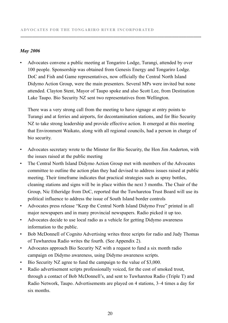#### *May 2006*

Advocates convene a public meeting at Tongariro Lodge, Turangi, attended by over 100 people. Sponsorship was obtained from Genesis Energy and Tongariro Lodge. DoC and Fish and Game representatives, now officially the Central North Island Didymo Action Group, were the main presenters. Several MPs were invited but none attended. Clayton Stent, Mayor of Taupo spoke and also Scott Lee, from Destination Lake Taupo. Bio Security NZ sent two representatives from Wellington.

**.........................................................................................................................................................................................**

There was a very strong call from the meeting to have signage at entry points to Turangi and at ferries and airports, for decontamination stations, and for Bio Security NZ to take strong leadership and provide effective action. It emerged at this meeting that Environment Waikato, along with all regional councils, had a person in charge of bio security.

- • Advocates secretary wrote to the Minster for Bio Security, the Hon Jim Anderton, with the issues raised at the public meeting
- The Central North Island Didymo Action Group met with members of the Advocates committee to outline the action plan they had devised to address issues raised at public meeting. Their timeframe indicates that practical strategies such as spray bottles, cleaning stations and signs will be in place within the next 3 months. The Chair of the Group, Nic Etheridge from DoC, reported that the Tuwharetoa Trust Board will use its political influence to address the issue of South Island border controls
- Advocates press release "Keep the Central North Island Didymo Free" printed in all major newspapers and in many provincial newspapers. Radio picked it up too.
- Advocates decide to use local radio as a vehicle for getting Didymo awareness information to the public.
- Bob McDonnell of Cognito Advertising writes three scripts for radio and Judy Thomas of Tuwharetoa Radio writes the fourth. (See Appendix 2).
- Advocates approach Bio Security NZ with a request to fund a six month radio campaign on Didymo awareness, using Didymo awareness scripts.
- Bio Security NZ agree to fund the campaign to the value of \$3,000.
- Radio advertisement scripts professionally voiced, for the cost of smoked trout, through a contact of Bob McDonnell's, and sent to Tuwharetoa Radio (Triple T) and Radio Network, Taupo. Advertisements are played on 4 stations, 3–4 times a day for six months.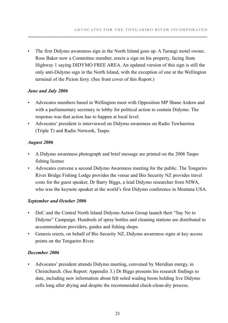• The first Didymo awareness sign in the North Island goes up. A Turangi motel owner, Ross Baker now a Committee member, erects a sign on his property, facing State Highway 1 saying DIDYMO FREE AREA. An updated version of this sign is still the only anti-Didymo sign in the North Island, with the exception of one at the Wellington terminal of the Picton ferry. (See front cover of this Report.)

#### *June and July 2006*

- Advocates members based in Wellington meet with Opposition MP Shane Ardern and with a parliamentary secretary to lobby for political action to contain Didymo. The response was that action has to happen at local level.
- • Advocates' president is interviewed on Didymo awareness on Radio Tuwharetoa (Triple T) and Radio Network, Taupo.

#### *August 2006*

- • A Didymo awareness photograph and brief message are printed on the 2006 Taupo fishing license
- • Advocates convene a second Didymo Awareness meeting for the public. The Tongariro River Bridge Fishing Lodge provides the venue and Bio Security NZ provides travel costs for the guest speaker, Dr Barry Biggs, a lead Didymo researcher from NIWA, who was the keynote speaker at the world's first Didymo conference in Montana USA.

#### *September and October 2006*

- DoC and the Central North Island Didymo Action Group launch their "Say No to Didymo" Campaign. Hundreds of spray bottles and cleaning stations are distributed to accommodation providers, guides and fishing shops.
- Genesis erects, on behalf of Bio Security NZ, Didymo awareness signs at key access points on the Tongariro River.

#### *December 2006*

• Advocates' president attends Didymo meeting, convened by Meridian energy, in Christchurch. (See Report: Appendix 3.) Dr Biggs presents his research findings to date, including new information about felt soled wading boots holding live Didymo cells long after drying and despite the recommended check-clean-dry process.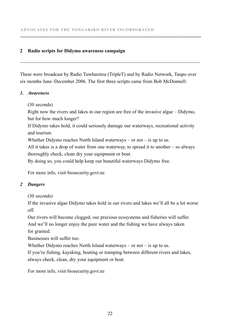#### **2 Radio scripts for Didymo awareness campaign**

These were broadcast by Radio Tuwharetoa (TripleT) and by Radio Network, Taupo over six months June–December 2006. The first three scripts came from Bob McDonnell:

**.........................................................................................................................................................................................**

#### *1. Awareness*

(30 seconds)

Right now the rivers and lakes in our region are free of the invasive algae – Didymo, but for how much longer?

If Didymo takes hold, it could seriously damage our waterways, recreational activity and tourism.

Whether Didymo reaches North Island waterways – or not – is up to us.

All it takes is a drop of water from one waterway, to spread it to another – so always thoroughly check, clean dry your equipment or boat.

By doing so, you could help keep our beautiful waterways Didymo free.

For more info, visit biosecurity.govt.nz

#### *2 Dangers*

(30 seconds)

If the invasive algae Didymo takes hold in our rivers and lakes we'll all be a lot worse off.

Our rivers will become clogged, our precious ecosystems and fisheries will suffer. And we'll no longer enjoy the pure water and the fishing we have always taken for granted.

Businesses will suffer too.

Whether Didymo reaches North Island waterways – or not – is up to us.

If you're fishing, kayaking, boating or tramping between different rivers and lakes, always check, clean, dry your equipment or boat.

For more info, visit biosecurity.govt.nz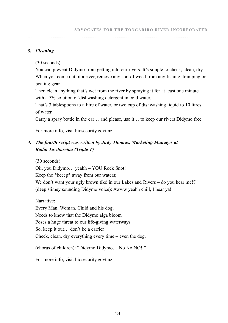#### *3. Cleaning*

(30 seconds)

You can prevent Didymo from getting into our rivers. It's simple to check, clean, dry. When you come out of a river, remove any sort of weed from any fishing, tramping or boating gear.

Then clean anything that's wet from the river by spraying it for at least one minute with a 5% solution of dishwashing detergent in cold water.

That's 3 tablespoons to a litre of water, or two cup of dishwashing liquid to 10 litres of water.

Carry a spray bottle in the car… and please, use it… to keep our rivers Didymo free.

For more info, visit biosecurity.govt.nz

#### *4. The fourth script was written by Judy Thomas, Marketing Manager at Radio Tuwharetoa (Triple T)*

(30 seconds)

Oii, you Didymo… yeahh – YOU Rock Snot!

Keep the \*beeep\* away from our waters;

We don't want your ugly brown tikô in our Lakes and Rivers – do you hear me!?" (deep slimey sounding Didymo voice): Awww yeahh chill, I hear ya!

Narrative:

Every Man, Woman, Child and his dog, Needs to know that the Didymo alga bloom Poses a huge threat to our life-giving waterways So, keep it out… don't be a carrier Check, clean, dry everything every time – even the dog.

(chorus of children): "Didymo Didymo… No No NO!!"

For more info, visit biosecurity.govt.nz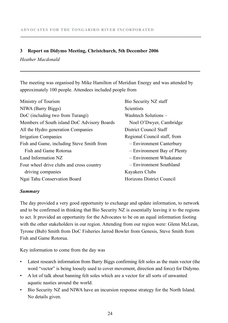#### **3 Report on Didymo Meeting, Christchurch, 5th December 2006**

#### *Heather Macdonald*

The meeting was organised by Mike Hamilton of Meridian Energy and was attended by approximately 100 people. Attendees included people from

**.........................................................................................................................................................................................**

| Bio Security NZ staff        |
|------------------------------|
| Scientists                   |
| Washtech Solutions -         |
| Noel O'Dwyer, Cambridge      |
| District Council Staff       |
| Regional Council staff, from |
| - Environment Canterbury     |
| - Environment Bay of Plenty  |
| - Environment Whakatane      |
| - Environment Southland      |
| Kayakers Clubs               |
| Horizons District Council    |
|                              |

#### *Summary*

The day provided a very good opportunity to exchange and update information, to network and to be confirmed in thinking that Bio Security NZ is essentially leaving it to the regions to act. It provided an opportunity for the Advocates to be on an equal information footing with the other stakeholders in our region. Attending from our region were: Glenn McLean, Tyrone (Bub) Smith from DoC Fisheries Jarrod Bowler from Genesis, Steve Smith from Fish and Game Rotorua.

Key information to come from the day was

- Latest research information from Barry Biggs confirming felt soles as the main vector (the word "vector" is being loosely used to cover movement, direction and force) for Didymo.
- A lot of talk about banning felt soles which are a vector for all sorts of unwanted aquatic nasties around the world.
- Bio Security NZ and NIWA have an incursion response strategy for the North Island. No details given.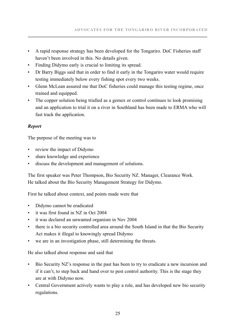- • A rapid response strategy has been developed for the Tongariro. DoC Fisheries staff haven't been involved in this. No details given.
- Finding Didymo early is crucial to limiting its spread.
- Dr Barry Biggs said that in order to find it early in the Tongariro water would require testing immediately below every fishing spot every two weeks.
- Glenn McLean assured me that DoC fisheries could manage this testing regime, once trained and equipped.
- The copper solution being trialled as a gemex or control continues to look promising and an application to trial it on a river in Southland has been made to ERMA who will fast track the application.

#### *Report*

The purpose of the meeting was to

- review the impact of Didymo
- share knowledge and experience
- discuss the development and management of solutions.

The first speaker was Peter Thompson, Bio Security NZ. Manager, Clearance Work. He talked about the Bio Security Management Strategy for Didymo.

First he talked about context, and points made were that

- • Didymo cannot be eradicated
- • it was first found in NZ in Oct 2004
- • it was declared an unwanted organism in Nov 2004
- there is a bio security controlled area around the South Island in that the Bio Security Act makes it illegal to knowingly spread Didymo
- we are in an investigation phase, still determining the threats.

He also talked about response and said that

- Bio Security NZ's response in the past has been to try to eradicate a new incursion and if it can't, to step back and hand over to pest control authority. This is the stage they are at with Didymo now.
- Central Government actively wants to play a role, and has developed new bio security regulations.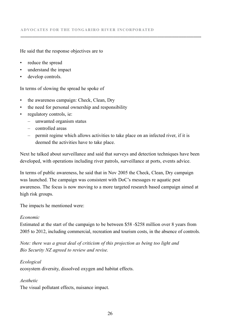#### He said that the response objectives are to

- • reduce the spread
- understand the impact
- develop controls.

In terms of slowing the spread he spoke of

- the awareness campaign: Check, Clean, Dry
- the need for personal ownership and responsibility
- regulatory controls, ie:
	- unwanted organism status
	- controlled areas
	- permit regime which allows activities to take place on an infected river, if it is deemed the activities have to take place.

**.........................................................................................................................................................................................**

Next he talked about surveillance and said that surveys and detection techniques have been developed, with operations including river patrols, surveillance at ports, events advice.

In terms of public awareness, he said that in Nov 2005 the Check, Clean, Dry campaign was launched. The campaign was consistent with DoC's messages re aquatic pest awareness. The focus is now moving to a more targeted research based campaign aimed at high risk groups.

The impacts he mentioned were:

#### *Economic*

Estimated at the start of the campaign to be between \$58 -\$258 million over 8 years from 2005 to 2012, including commercial, recreation and tourism costs, in the absence of controls.

*Note: there was a great deal of criticism of this projection as being too light and Bio Security NZ agreed to review and revise.*

#### *Ecological*

ecosystem diversity, dissolved oxygen and habitat effects.

#### *Aesthetic*

The visual pollutant effects, nuisance impact.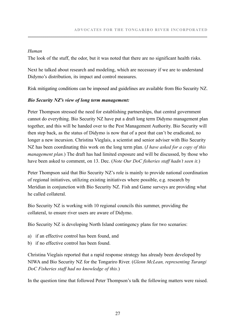#### *Human*

The look of the stuff, the odor, but it was noted that there are no significant health risks.

Next he talked about research and modeling, which are necessary if we are to understand Didymo's distribution, its impact and control measures.

Risk mitigating conditions can be imposed and guidelines are available from Bio Security NZ.

#### *Bio Security NZ's view of long term management:*

Peter Thompson stressed the need for establishing partnerships, that central government cannot do everything. Bio Security NZ have put a draft long term Didymo management plan together, and this will be handed over to the Pest Management Authority. Bio Security will then step back, as the status of Didymo is now that of a pest that can't be eradicated, no longer a new incursion. Christina Vieglais, a scientist and senior adviser with Bio Security NZ has been coordinating this work on the long term plan. (*I have asked for a copy of this management plan.*) The draft has had limited exposure and will be discussed, by those who have been asked to comment, on 13. Dec. (*Note Our DoC fisheries staff hadn't seen it.*)

Peter Thompson said that Bio Security NZ's role is mainly to provide national coordination of regional initiatives, utilizing existing initiatives where possible, e.g. research by Meridian in conjunction with Bio Security NZ. Fish and Game surveys are providing what he called collateral.

Bio Security NZ is working with 10 regional councils this summer, providing the collateral, to ensure river users are aware of Didymo.

Bio Security NZ is developing North Island contingency plans for two scenarios:

- a) if an effective control has been found, and
- b) if no effective control has been found.

Christina Vieglais reported that a rapid response strategy has already been developed by NIWA and Bio Security NZ for the Tongariro River. (*Glenn McLean, representing Turangi DoC Fisheries staff had no knowledge of this.*)

In the question time that followed Peter Thompson's talk the following matters were raised.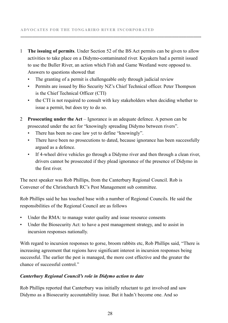1 **The issuing of permits**. Under Section 52 of the BS Act permits can be given to allow activities to take place on a Didymo-contaminated river. Kayakers had a permit issued to use the Buller River, an action which Fish and Game Westland were opposed to. Answers to questions showed that

**.........................................................................................................................................................................................**

- The granting of a permit is challengeable only through judicial review
- • Permits are issued by Bio Security NZ's Chief Technical officer. Peter Thompson is the Chief Technical Officer (CTI)
- the CTI is not required to consult with key stakeholders when deciding whether to issue a permit, but does try to do so.
- 2 **Prosecuting under the Act** Ignorance is an adequate defence. A person can be prosecuted under the act for "knowingly spreading Didymo between rivers".
	- There has been no case law yet to define "knowingly".
	- There have been no prosecutions to dated, because ignorance has been successfully argued as a defence.
	- If 4-wheel drive vehicles go through a Didymo river and then through a clean river, drivers cannot be prosecuted if they plead ignorance of the presence of Didymo in the first river.

The next speaker was Rob Phillips, from the Canterbury Regional Council. Rob is Convener of the Christchurch RC's Pest Management sub committee.

Rob Phillips said he has touched base with a number of Regional Councils. He said the responsibilities of the Regional Council are as follows

- Under the RMA: to manage water quality and issue resource consents
- Under the Biosecurity Act: to have a pest management strategy, and to assist in incursion responses nationally.

With regard to incursion responses to gorse, broom rabbits etc, Rob Phillips said, "There is increasing agreement that regions have significant interest in incursion responses being successful. The earlier the pest is managed, the more cost effective and the greater the chance of successful control."

#### *Canterbury Regional Council's role in Didymo action to date*

Rob Phillips reported that Canterbury was initially reluctant to get involved and saw Didymo as a Biosecurity accountability issue. But it hadn't become one. And so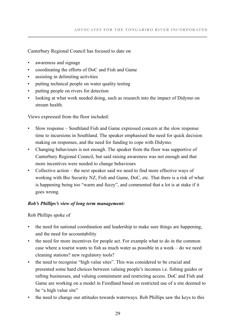Canterbury Regional Council has focused to date on

- • awareness and signage
- • coordinating the efforts of DoC and Fish and Game
- • assisting in delimiting activities
- putting technical people on water quality testing
- putting people on rivers for detection
- looking at what work needed doing, such as research into the impact of Didymo on stream health.

Views expressed from the floor included:

- Slow response  $-$  Southland Fish and Game expressed concern at the slow response time to incursions in Southland. The speaker emphasised the need for quick decision making on responses, and the need for funding to cope with Didymo.
- Changing behaviours is not enough. The speaker from the floor was supportive of Canterbury Regional Council, but said raising awareness was not enough and that more incentives were needed to change behaviours
- Collective action the next speaker said we need to find more effective ways of working with Bio Security NZ, Fish and Game, DoC, etc. That there is a risk of what is happening being too "warm and fuzzy", and commented that a lot is at stake if it goes wrong.

#### *Rob's Phillips's view of long term management:*

Rob Phillips spoke of

- the need for national coordination and leadership to make sure things are happening, and the need for accountability
- the need for more incentives for people act. For example what to do in the common case where a tourist wants to fish as much water as possible in a week – do we need cleaning stations? new regulatory tools?
- the need to recognise "high value sites". This was considered to be crucial and presented some hard choices between valuing people's incomes i.e. fishing guides or rafting businesses, and valuing containment and restricting access. DoC and Fish and Game are working on a model in Fiordland based on restricted use of a site deemed to be "a high value site"
- the need to change our attitudes towards waterways. Rob Phillips saw the keys to this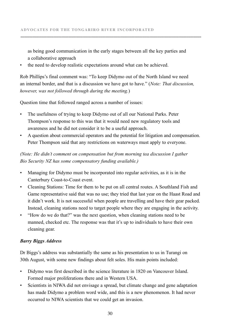as being good communication in the early stages between all the key parties and a collaborative approach

**.........................................................................................................................................................................................**

the need to develop realistic expectations around what can be achieved.

Rob Phillips's final comment was: "To keep Didymo out of the North Island we need an internal border, and that is a discussion we have got to have." (*Note: That discussion, however, was not followed through during the meeting.*)

Question time that followed ranged across a number of issues:

- The usefulness of trying to keep Didymo out of all our National Parks. Peter Thompson's response to this was that it would need new regulatory tools and awareness and he did not consider it to be a useful approach.
- A question about commercial operators and the potential for litigation and compensation. Peter Thompson said that any restrictions on waterways must apply to everyone.

#### *(Note: He didn't comment on compensation but from morning tea discussion I gather Bio Security NZ has some compensatory funding available.)*

- • Managing for Didymo must be incorporated into regular activities, as it is in the Canterbury Coast-to-Coast event.
- • Cleaning Stations: Time for them to be put on all central routes. A Southland Fish and Game representative said that was no use; they tried that last year on the Haast Road and it didn't work. It is not successful when people are travelling and have their gear packed. Instead, cleaning stations need to target people where they are engaging in the activity.
- • "How do we do that?" was the next question, when cleaning stations need to be manned, checked etc. The response was that it's up to individuals to have their own cleaning gear.

#### *Barry Biggs Address*

Dr Biggs's address was substantially the same as his presentation to us in Turangi on 30th August, with some new findings about felt soles. His main points included:

- Didymo was first described in the science literature in 1820 on Vancouver Island. Formed major proliferations there and in Western USA.
- Scientists in NIWA did not envisage a spread, but climate change and gene adaptation has made Didymo a problem word wide, and this is a new phenomenon. It had never occurred to NIWA scientists that we could get an invasion.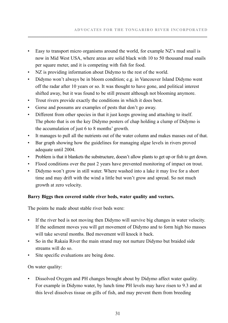- Easy to transport micro organisms around the world, for example NZ's mud snail is now in Mid West USA, where areas are solid black with 10 to 50 thousand mud snails per square meter, and it is competing with fish for food.
- NZ is providing information about Didymo to the rest of the world.
- • Didymo won't always be in bloom condition; e.g. in Vancouver Island Didymo went off the radar after 10 years or so. It was thought to have gone, and political interest shifted away, but it was found to be still present although not blooming anymore.
- Trout rivers provide exactly the conditions in which it does best.
- • Gorse and possums are examples of pests that don't go away.
- Different from other species in that it just keeps growing and attaching to itself. The photo that is on the key Didymo posters of chap holding a clump of Didymo is the accumulation of just 6 to 8 months' growth.
- • It manages to pull all the nutrients out of the water column and makes masses out of that.
- • Bar graph showing how the guidelines for managing algae levels in rivers proved adequate until 2004.
- Problem is that it blankets the substructure, doesn't allow plants to get up or fish to get down.
- Flood conditions over the past 2 years have prevented monitoring of impact on trout.
- Didymo won't grow in still water. Where washed into a lake it may live for a short time and may drift with the wind a little but won't grow and spread. So not much growth at zero velocity.

#### **Barry Biggs then covered stable river beds, water quality and vectors.**

The points he made about stable river beds were:

- If the river bed is not moving then Didymo will survive big changes in water velocity. If the sediment moves you will get movement of Didymo and to form high bio masses will take several months. Bed movement will knock it back.
- So in the Rakaia River the main strand may not nurture Didymo but braided side streams will do so.
- Site specific evaluations are being done.

On water quality:

• Dissolved Oxygen and PH changes brought about by Didymo affect water quality. For example in Didymo water, by lunch time PH levels may have risen to 9.3 and at this level dissolves tissue on gills of fish, and may prevent them from breeding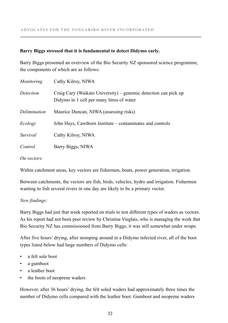#### **Barry Biggs stressed that it is fundamental to detect Didymo early.**

Barry Biggs presented an overview of the Bio Security NZ sponsored science programme, the components of which are as follows:

**.........................................................................................................................................................................................**

| Monitoring   | Cathy Kilroy, NIWA                                                                                           |
|--------------|--------------------------------------------------------------------------------------------------------------|
| Detection    | Craig Cary (Waikato University) – genomic detection can pick up<br>Didymo in 1 cell per many litres of water |
| Delimination | Maurice Duncan, NIWA (assessing risks)                                                                       |
| Ecology      | John Hays, Cawthorn Institute – contaminates and controls                                                    |
| Survival     | Cathy Kilroy, NIWA                                                                                           |
| Control      | Barry Biggs, NIWA                                                                                            |
|              |                                                                                                              |

*On vectors:*

Within catchment areas, key vectors are fishermen, boats, power generation, irrigation.

Between catchments, the vectors are fish, birds, vehicles, hydro and irrigation. Fishermen wanting to fish several rivers in one day are likely to be a primary vector.

#### *New findings:*

Barry Biggs had just that week reported on trials to test different types of waders as vectors. As his report had not been peer review by Christina Vieglais, who is managing the work that Bio Security NZ has commissioned from Barry Biggs, it was still somewhat under wraps.

After five hours' drying, after stomping around in a Didymo infected river, all of the boot types listed below had large numbers of Didymo cells:

- a felt sole boot
- a gumboot
- a leather boot
- the boots of neoprene waders

However, after 36 hours' drying, the felt soled waders had approximately three times the number of Didymo cells compared with the leather boot. Gumboot and neoprene waders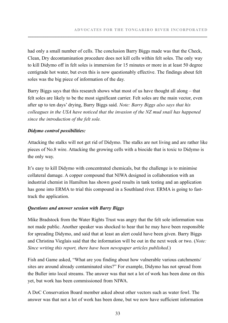had only a small number of cells. The conclusion Barry Biggs made was that the Check, Clean, Dry decontamination procedure does not kill cells within felt soles. The only way to kill Didymo off in felt soles is immersion for 15 minutes or more in at least 50 degree centigrade hot water, but even this is now questionably effective. The findings about felt soles was the big piece of information of the day.

Barry Biggs says that this research shows what most of us have thought all along – that felt soles are likely to be the most significant carrier. Felt soles are the main vector, even after up to ten days' drying, Barry Biggs said. *Note: Barry Biggs also says that his colleagues in the USA have noticed that the invasion of the NZ mud snail has happened since the introduction of the felt sole.*

#### *Didymo control possibilities:*

Attacking the stalks will not get rid of Didymo. The stalks are not living and are rather like pieces of No.8 wire. Attacking the growing cells with a biocide that is toxic to Didymo is the only way.

It's easy to kill Didymo with concentrated chemicals, but the challenge is to minimise collateral damage. A copper compound that NIWA designed in collaboration with an industrial chemist in Hamilton has shown good results in tank testing and an application has gone into ERMA to trial this compound in a Southland river. ERMA is going to fasttrack the application.

#### *Questions and answer session with Barry Biggs*

Mike Bradstock from the Water Rights Trust was angry that the felt sole information was not made public. Another speaker was shocked to hear that he may have been responsible for spreading Didymo, and said that at least an alert could have been given. Barry Biggs and Christina Vieglais said that the information will be out in the next week or two. (*Note: Since writing this report, there have been newspaper articles published.*)

Fish and Game asked, "What are you finding about how vulnerable various catchments/ sites are around already contaminated sites?" For example, Didymo has not spread from the Buller into local streams. The answer was that not a lot of work has been done on this yet, but work has been commissioned from NIWA.

A DoC Conservation Board member asked about other vectors such as water fowl. The answer was that not a lot of work has been done, but we now have sufficient information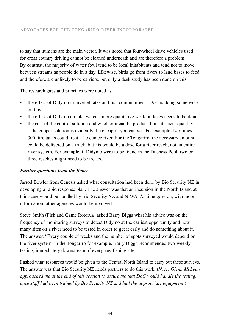to say that humans are the main vector. It was noted that four-wheel drive vehicles used for cross country driving cannot be cleaned underneath and are therefore a problem. By contrast, the majority of water fowl tend to be local inhabitants and tend not to move between streams as people do in a day. Likewise, birds go from rivers to land bases to feed and therefore are unlikely to be carriers, but only a desk study has been done on this.

**.........................................................................................................................................................................................**

The research gaps and priorities were noted as

- $\bullet$  the effect of Didymo in invertebrates and fish communities  $-$  DoC is doing some work on this
- the effect of Didymo on lake water more qualitative work on lakes needs to be done
- the cost of the control solution and whether it can be produced in sufficient quantity – the copper solution is evidently the cheapest you can get. For example, two times 300 litre tanks could treat a 10 cumec river. For the Tongariro, the necessary amount could be delivered on a truck, but his would be a dose for a river reach, not an entire river system. For example, if Didymo were to be found in the Duchess Pool, two or three reaches might need to be treated.

#### *Further questions from the floor:*

Jarrod Bowler from Genesis asked what consultation had been done by Bio Security NZ in developing a rapid response plan. The answer was that an incursion in the North Island at this stage would be handled by Bio Security NZ and NIWA. As time goes on, with more information, other agencies would be involved.

Steve Smith (Fish and Game Rotorua) asked Barry Biggs what his advice was on the frequency of monitoring surveys to detect Didymo at the earliest opportunity and how many sites on a river need to be tested in order to get it early and do something about it. The answer, "Every couple of weeks and the number of spots surveyed would depend on the river system. In the Tongariro for example, Barry Biggs recommended two-weekly testing, immediately downstream of every key fishing site.

I asked what resources would be given to the Central North Island to carry out these surveys. The answer was that Bio Security NZ needs partners to do this work. (*Note: Glenn McLean approached me at the end of this session to assure me that DoC would handle the testing, once staff had been trained by Bio Security NZ and had the appropriate equipment*.)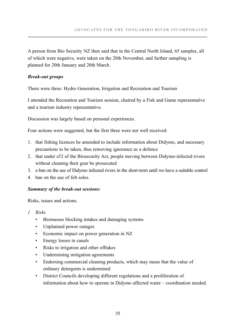A person from Bio Security NZ then said that in the Central North Island, 65 samples, all of which were negative, were taken on the 20th November, and further sampling is planned for 20th January and 20th March.

#### *Break-out groups*

There were three: Hydro Generation, Irrigation and Recreation and Tourism

I attended the Recreation and Tourism session, chaired by a Fish and Game representative and a tourism industry representative.

Discussion was largely based on personal experiences.

Four actions were suggested, but the first three were not well received:

- 1. that fishing licences be amended to include information about Didymo, and necessary precautions to be taken, thus removing ignorance as a defence
- 2. that under s52 of the Biosecurity Act, people moving between Didymo-infected rivers without cleaning their gear be prosecuted
- 3. a ban on the use of Didymo infected rivers in the short-term until we have a suitable control
- 4. ban on the use of felt soles.

#### *Summary of the break-out sessions:*

Risks, issues and actions.

- *1 Risks*
	- • Biomasses blocking intakes and damaging systems
	- • Unplanned power outages
	- • Economic impact on power generation in NZ
	- Energy losses in canals
	- • Risks to irrigation and other offtakes
	- Undermining mitigation agreements
	- Endorsing commercial cleaning products, which may mean that the value of ordinary detergents is undermined
	- • District Councils developing different regulations and a proliferation of information about how to operate in Didymo affected water – coordination needed.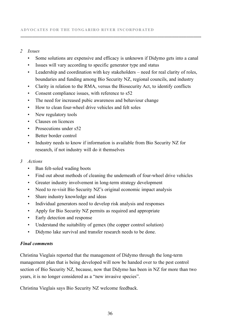#### *2 Issues*

• Some solutions are expensive and efficacy is unknown if Didymo gets into a canal

**.........................................................................................................................................................................................**

- Issues will vary according to specific generator type and status
- Leadership and coordination with key stakeholders need for real clarity of roles. boundaries and funding among Bio Security NZ, regional councils, and industry
- Clarity in relation to the RMA, versus the Biosecurity Act, to identify conflicts
- Consent compliance issues, with reference to s52
- The need for increased pubic awareness and behaviour change
- How to clean four-wheel drive vehicles and felt soles
- New regulatory tools
- Clauses on licences
- Prosecutions under s52
- • Better border control
- Industry needs to know if information is available from Bio Security NZ for research, if not industry will do it themselves

#### *3 Actions*

- Ban felt-soled wading boots
- Find out about methods of cleaning the underneath of four-wheel drive vehicles
- Greater industry involvement in long-term strategy development
- Need to re-visit Bio Security NZ's original economic impact analysis
- Share industry knowledge and ideas
- Individual generators need to develop risk analysis and responses
- Apply for Bio Security NZ permits as required and appropriate
- Early detection and response
- Understand the suitability of gemex (the copper control solution)
- Didymo lake survival and transfer research needs to be done.

#### *Final comments*

Christina Vieglais reported that the management of Didymo through the long-term management plan that is being developed will now be handed over to the pest control section of Bio Security NZ, because, now that Didymo has been in NZ for more than two years, it is no longer considered as a "new invasive species".

Christina Vieglais says Bio Security NZ welcome feedback.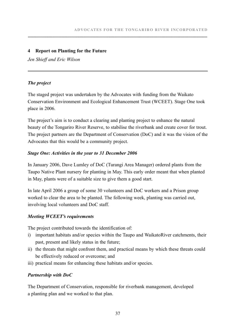#### **4 Report on Planting for the Future**

*Jen Shieff and Eric Wilson*

#### *The project*

The staged project was undertaken by the Advocates with funding from the Waikato Conservation Environment and Ecological Enhancement Trust (WCEET). Stage One took place in 2006.

The project's aim is to conduct a clearing and planting project to enhance the natural beauty of the Tongariro River Reserve, to stabilise the riverbank and create cover for trout. The project partners are the Department of Conservation (DoC) and it was the vision of the Advocates that this would be a community project.

#### *Stage One: Activities in the year to 31 December 2006*

In January 2006, Dave Lumley of DoC (Turangi Area Manager) ordered plants from the Taupo Native Plant nursery for planting in May. This early order meant that when planted in May, plants were of a suitable size to give them a good start.

In late April 2006 a group of some 30 volunteers and DoC workers and a Prison group worked to clear the area to be planted. The following week, planting was carried out, involving local volunteers and DoC staff.

#### *Meeting WCEET's requirements*

The project contributed towards the identification of:

- i) important habitats and/or species within the Taupo and WaikatoRiver catchments, their past, present and likely status in the future;
- ii) the threats that might confront them, and practical means by which these threats could be effectively reduced or overcome; and
- iii) practical means for enhancing these habitats and/or species.

#### *Partnership with DoC*

The Department of Conservation, responsible for riverbank management, developed a planting plan and we worked to that plan.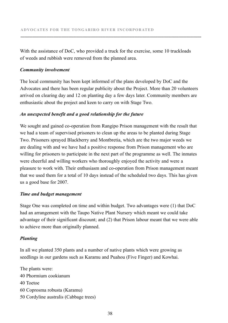With the assistance of DoC, who provided a truck for the exercise, some 10 truckloads of weeds and rubbish were removed from the planned area.

**.........................................................................................................................................................................................**

#### *Community involvement*

The local community has been kept informed of the plans developed by DoC and the Advocates and there has been regular publicity about the Project. More than 20 volunteers arrived on clearing day and 12 on planting day a few days later. Community members are enthusiastic about the project and keen to carry on with Stage Two.

#### *An unexpected benefit and a good relationship for the future*

We sought and gained co-operation from Rangipo Prison management with the result that we had a team of supervised prisoners to clean up the areas to be planted during Stage Two. Prisoners sprayed Blackberry and Montbretia, which are the two major weeds we are dealing with and we have had a positive response from Prison management who are willing for prisoners to participate in the next part of the programme as well. The inmates were cheerful and willing workers who thoroughly enjoyed the activity and were a pleasure to work with. Their enthusiasm and co-operation from Prison management meant that we used them for a total of 10 days instead of the scheduled two days. This has given us a good base for 2007.

#### *Time and budget management*

Stage One was completed on time and within budget. Two advantages were (1) that DoC had an arrangement with the Taupo Native Plant Nursery which meant we could take advantage of their significant discount; and (2) that Prison labour meant that we were able to achieve more than originally planned.

#### *Planting*

In all we planted 350 plants and a number of native plants which were growing as seedlings in our gardens such as Karamu and Puahou (Five Finger) and Kowhai.

The plants were: 40 Phormium cookianum 40 Toetoe 60 Coprosma robusta (Karamu) 50 Cordyline australis (Cabbage trees)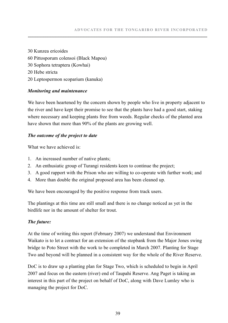30 Kunzea ericoides 60 Pittosporum colensoi (Black Mapou) 30 Sophora tetraptera (Kowhai) 20 Hebe stricta 20 Leptospermon scoparium (kanuka)

#### *Monitoring and maintenance*

We have been heartened by the concern shown by people who live in property adjacent to the river and have kept their promise to see that the plants have had a good start, staking where necessary and keeping plants free from weeds. Regular checks of the planted area have shown that more than 90% of the plants are growing well.

#### *The outcome of the project to date*

What we have achieved is:

- 1. An increased number of native plants;
- 2. An enthusiatic group of Turangi residents keen to continue the project;
- 3. A good rapport with the Prison who are willing to co-operate with further work; and
- 4. More than double the original proposed area has been cleaned up.

We have been encouraged by the positive response from track users.

The plantings at this time are still small and there is no change noticed as yet in the birdlife nor in the amount of shelter for trout.

#### *The future:*

At the time of writing this report (February 2007) we understand that Environment Waikato is to let a contract for an extension of the stopbank from the Major Jones swing bridge to Poto Street with the work to be completed in March 2007. Planting for Stage Two and beyond will be planned in a consistent way for the whole of the River Reserve.

DoC is to draw up a planting plan for Stage Two, which is scheduled to begin in April 2007 and focus on the eastern (river) end of Taupahi Reserve. Ang Paget is taking an interest in this part of the project on behalf of DoC, along with Dave Lumley who is managing the project for DoC.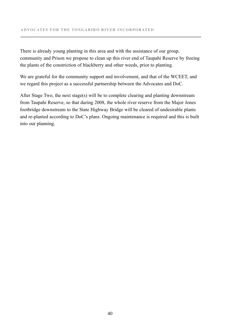There is already young planting in this area and with the assistance of our group, community and Prison we propose to clean up this river end of Taupahi Reserve by freeing the plants of the constriction of blackberry and other weeds, prior to planting.

**.........................................................................................................................................................................................**

We are grateful for the community support and involvement, and that of the WCEET, and we regard this project as a successful partnership between the Advocates and DoC.

After Stage Two, the next stage(s) will be to complete clearing and planting downstream from Taupahi Reserve, so that during 2008, the whole river reserve from the Major Jones footbridge downstream to the State Highway Bridge will be cleared of undesirable plants and re-planted according to DoC's plans. Ongoing maintenance is required and this is built into our planning.